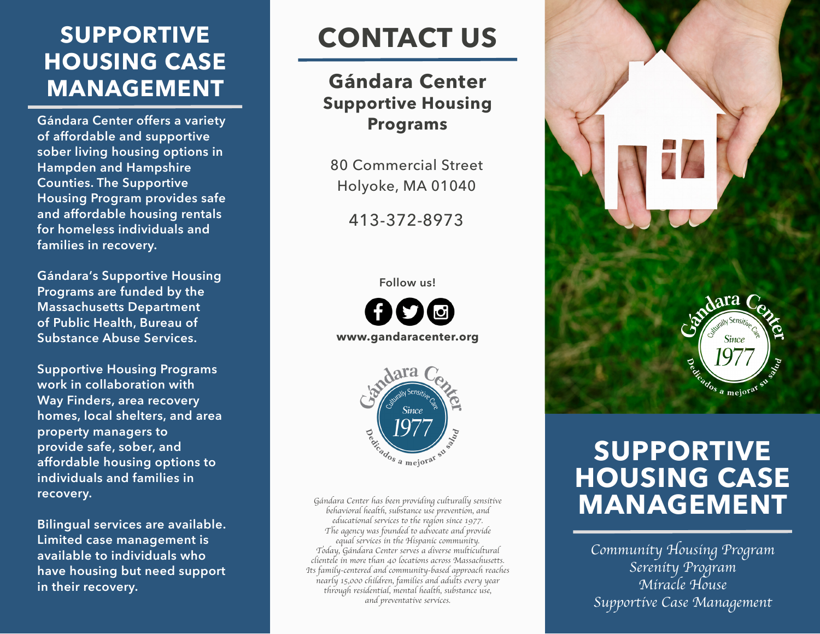## **SUPPORTIVE HOUSING CASE MANAGEMENT**

**Gándara Center offers a variety of affordable and supportive sober living housing options in Hampden and Hampshire Counties. The Supportive Housing Program provides safe and affordable housing rentals for homeless individuals and families in recovery.** 

**Gándara's Supportive Housing Programs are funded by the Massachusetts Department of Public Health, Bureau of Substance Abuse Services.** 

**Supportive Housing Programs work in collaboration with Way Finders, area recovery homes, local shelters, and area property managers to provide safe, sober, and affordable housing options to individuals and families in recovery.** 

**Bilingual services are available. Limited case management is available to individuals who have housing but need support in their recovery.**

# **CONTACT US**

#### **Gándara Center Supportive Housing Programs**

80 Commercial Street Holyoke, MA 01040

413-372-8973

#### **Follow us!**

**www.gandaracenter.org**



*Gándara Center has been providing culturally sensitive behavioral health, substance use prevention, and educational services to the region since 1977. The agency was founded to advocate and provide equal services in the Hispanic community. Today, Gándara Center serves a diverse multicultural clientele in more than 40 locations across Massachusetts. Its family-centered and community-based approach reaches nearly 15,000 children, families and adults every year through residential, mental health, substance use, and preventative services.* 



## **SUPPORTIVE HOUSING CASE MANAGEMENT**

*Community Housing Program Serenity Program Miracle House Supportive Case Management*